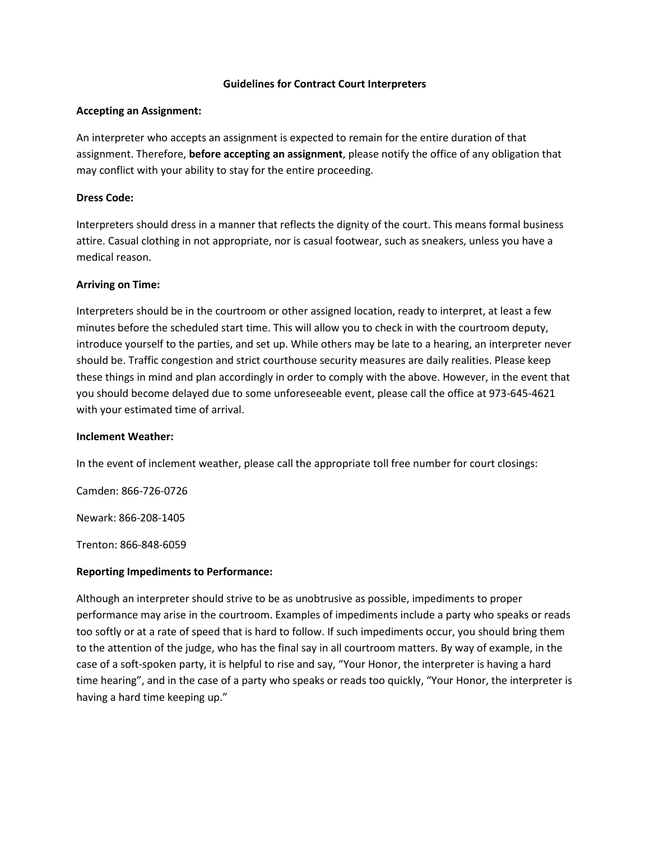## **Guidelines for Contract Court Interpreters**

## **Accepting an Assignment:**

An interpreter who accepts an assignment is expected to remain for the entire duration of that assignment. Therefore, **before accepting an assignment**, please notify the office of any obligation that may conflict with your ability to stay for the entire proceeding.

## **Dress Code:**

Interpreters should dress in a manner that reflects the dignity of the court. This means formal business attire. Casual clothing in not appropriate, nor is casual footwear, such as sneakers, unless you have a medical reason.

## **Arriving on Time:**

Interpreters should be in the courtroom or other assigned location, ready to interpret, at least a few minutes before the scheduled start time. This will allow you to check in with the courtroom deputy, introduce yourself to the parties, and set up. While others may be late to a hearing, an interpreter never should be. Traffic congestion and strict courthouse security measures are daily realities. Please keep these things in mind and plan accordingly in order to comply with the above. However, in the event that you should become delayed due to some unforeseeable event, please call the office at 973-645-4621 with your estimated time of arrival.

#### **Inclement Weather:**

In the event of inclement weather, please call the appropriate toll free number for court closings:

Camden: 866-726-0726

Newark: 866-208-1405

Trenton: 866-848-6059

# **Reporting Impediments to Performance:**

Although an interpreter should strive to be as unobtrusive as possible, impediments to proper performance may arise in the courtroom. Examples of impediments include a party who speaks or reads too softly or at a rate of speed that is hard to follow. If such impediments occur, you should bring them to the attention of the judge, who has the final say in all courtroom matters. By way of example, in the case of a soft-spoken party, it is helpful to rise and say, "Your Honor, the interpreter is having a hard time hearing", and in the case of a party who speaks or reads too quickly, "Your Honor, the interpreter is having a hard time keeping up."